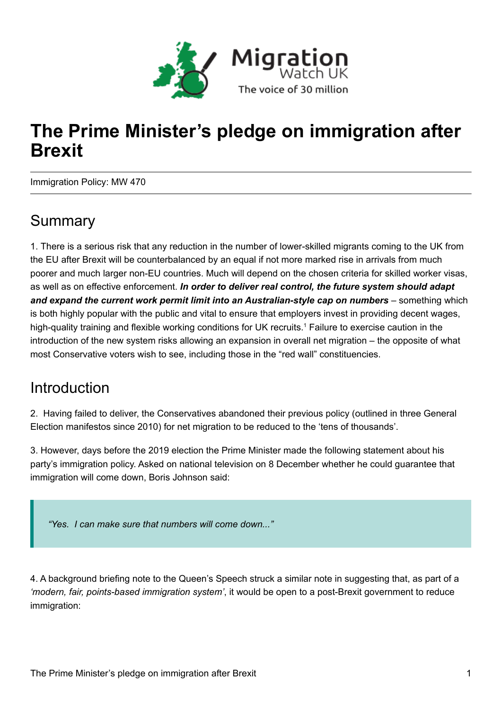

# **The Prime Minister's pledge on immigration after Brexit**

Immigration Policy: MW 470

### Summary

1. There is a serious risk that any reduction in the number of lower-skilled migrants coming to the UK from the EU after Brexit will be counterbalanced by an equal if not more marked rise in arrivals from much poorer and much larger non-EU countries. Much will depend on the chosen criteria for skilled worker visas, as well as on effective enforcement. *In order to deliver real control, the future system should adapt and expand the current work permit limit into an Australian-style cap on numbers* – something which is both highly popular with the public and vital to ensure that employers invest in providing decent wages, high-quality training and flexible working conditions for UK recruits.<sup>1</sup> Failure to exercise caution in the introduction of the new system risks allowing an expansion in overall net migration – the opposite of what most Conservative voters wish to see, including those in the "red wall" constituencies.

### Introduction

2. Having failed to deliver, the Conservatives abandoned their previous policy (outlined in three General Election manifestos since 2010) for net migration to be reduced to the 'tens of thousands'.

3. However, days before the 2019 election the Prime Minister made the following statement about his party's immigration policy. Asked on national television on 8 December whether he could guarantee that immigration will come down, Boris Johnson said:

*"Yes. I can make sure that numbers will come down..."*

4. A background briefing note to the Queen's Speech struck a similar note in suggesting that, as part of a *'modern, fair, points-based immigration system'*, it would be open to a post-Brexit government to reduce immigration: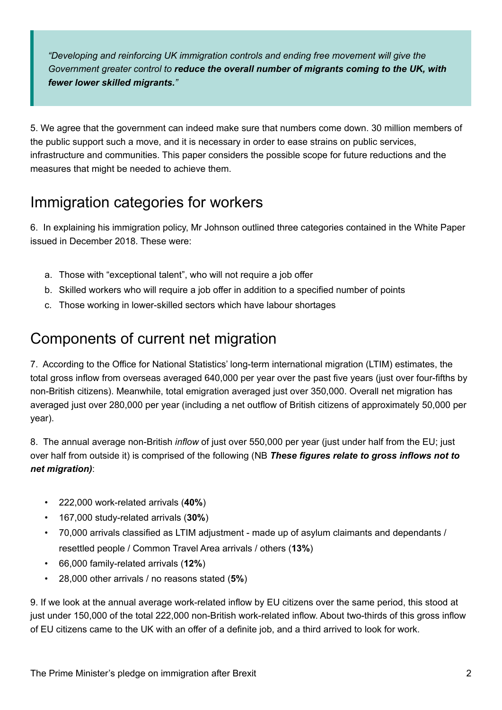*"Developing and reinforcing UK immigration controls and ending free movement will give the Government greater control to reduce the overall number of migrants coming to the UK, with fewer lower skilled migrants."*

5. We agree that the government can indeed make sure that numbers come down. 30 million members of the public support such a move, and it is necessary in order to ease strains on public services, infrastructure and communities. This paper considers the possible scope for future reductions and the measures that might be needed to achieve them.

### Immigration categories for workers

6. In explaining his immigration policy, Mr Johnson outlined three categories contained in the White Paper issued in December 2018. These were:

- a. Those with "exceptional talent", who will not require a job offer
- b. Skilled workers who will require a job offer in addition to a specified number of points
- c. Those working in lower-skilled sectors which have labour shortages

### Components of current net migration

7. According to the Office for National Statistics' long-term international migration (LTIM) estimates, the total gross inflow from overseas averaged 640,000 per year over the past five years (just over four-fifths by non-British citizens). Meanwhile, total emigration averaged just over 350,000. Overall net migration has averaged just over 280,000 per year (including a net outflow of British citizens of approximately 50,000 per year).

8. The annual average non-British *inflow* of just over 550,000 per year (just under half from the EU; just over half from outside it) is comprised of the following (NB *These figures relate to gross inflows not to net migration)*:

- 222,000 work-related arrivals (**40%**)
- 167,000 study-related arrivals (**30%**)
- 70,000 arrivals classified as LTIM adjustment made up of asylum claimants and dependants / resettled people / Common Travel Area arrivals / others (**13%**)
- 66,000 family-related arrivals (**12%**)
- 28,000 other arrivals / no reasons stated (**5%**)

9. If we look at the annual average work-related inflow by EU citizens over the same period, this stood at just under 150,000 of the total 222,000 non-British work-related inflow. About two-thirds of this gross inflow of EU citizens came to the UK with an offer of a definite job, and a third arrived to look for work.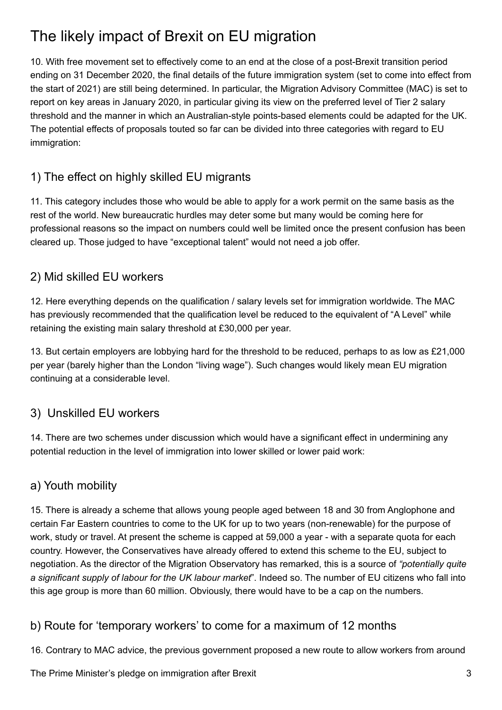## The likely impact of Brexit on EU migration

10. With free movement set to effectively come to an end at the close of a post-Brexit transition period ending on 31 December 2020, the final details of the future immigration system (set to come into effect from the start of 2021) are still being determined. In particular, the Migration Advisory Committee (MAC) is set to report on key areas in January 2020, in particular giving its view on the preferred level of Tier 2 salary threshold and the manner in which an Australian-style points-based elements could be adapted for the UK. The potential effects of proposals touted so far can be divided into three categories with regard to EU immigration:

#### 1) The effect on highly skilled EU migrants

11. This category includes those who would be able to apply for a work permit on the same basis as the rest of the world. New bureaucratic hurdles may deter some but many would be coming here for professional reasons so the impact on numbers could well be limited once the present confusion has been cleared up. Those judged to have "exceptional talent" would not need a job offer.

#### 2) Mid skilled EU workers

12. Here everything depends on the qualification / salary levels set for immigration worldwide. The MAC has previously recommended that the qualification level be reduced to the equivalent of "A Level" while retaining the existing main salary threshold at £30,000 per year.

13. But certain employers are lobbying hard for the threshold to be reduced, perhaps to as low as £21,000 per year (barely higher than the London "living wage"). Such changes would likely mean EU migration continuing at a considerable level.

#### 3) Unskilled EU workers

14. There are two schemes under discussion which would have a significant effect in undermining any potential reduction in the level of immigration into lower skilled or lower paid work:

#### a) Youth mobility

15. There is already a scheme that allows young people aged between 18 and 30 from Anglophone and certain Far Eastern countries to come to the UK for up to two years (non-renewable) for the purpose of work, study or travel. At present the scheme is capped at 59,000 a year - with a separate quota for each country. However, the Conservatives have already offered to extend this scheme to the EU, subject to negotiation. As the director of the Migration Observatory has remarked, this is a source of *"potentially quite a significant supply of labour for the UK labour market*". Indeed so. The number of EU citizens who fall into this age group is more than 60 million. Obviously, there would have to be a cap on the numbers.

#### b) Route for 'temporary workers' to come for a maximum of 12 months

16. Contrary to MAC advice, the previous government proposed a new route to allow workers from around

The Prime Minister's pledge on immigration after Brexit 3 3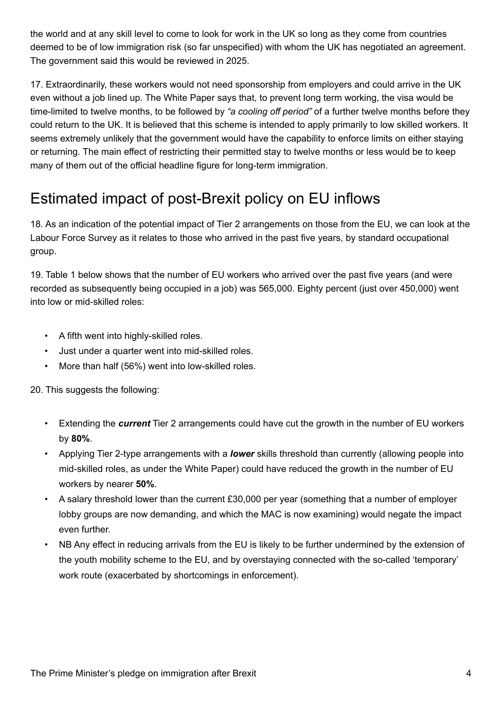the world and at any skill level to come to look for work in the UK so long as they come from countries deemed to be of low immigration risk (so far unspecified) with whom the UK has negotiated an agreement. The government said this would be reviewed in 2025.

17. Extraordinarily, these workers would not need sponsorship from employers and could arrive in the UK even without a job lined up. The White Paper says that, to prevent long term working, the visa would be time-limited to twelve months, to be followed by *"a cooling off period"* of a further twelve months before they could return to the UK. It is believed that this scheme is intended to apply primarily to low skilled workers. It seems extremely unlikely that the government would have the capability to enforce limits on either staying or returning. The main effect of restricting their permitted stay to twelve months or less would be to keep many of them out of the official headline figure for long-term immigration.

## Estimated impact of post-Brexit policy on EU inflows

18. As an indication of the potential impact of Tier 2 arrangements on those from the EU, we can look at the Labour Force Survey as it relates to those who arrived in the past five years, by standard occupational group.

19. Table 1 below shows that the number of EU workers who arrived over the past five years (and were recorded as subsequently being occupied in a job) was 565,000. Eighty percent (just over 450,000) went into low or mid-skilled roles:

- A fifth went into highly-skilled roles.
- Just under a quarter went into mid-skilled roles.
- More than half (56%) went into low-skilled roles.

20. This suggests the following:

- Extending the *current* Tier 2 arrangements could have cut the growth in the number of EU workers by **80%**.
- Applying Tier 2-type arrangements with a *lower* skills threshold than currently (allowing people into mid-skilled roles, as under the White Paper) could have reduced the growth in the number of EU workers by nearer **50%**.
- A salary threshold lower than the current £30,000 per year (something that a number of employer lobby groups are now demanding, and which the MAC is now examining) would negate the impact even further.
- NB Any effect in reducing arrivals from the EU is likely to be further undermined by the extension of the youth mobility scheme to the EU, and by overstaying connected with the so-called 'temporary' work route (exacerbated by shortcomings in enforcement).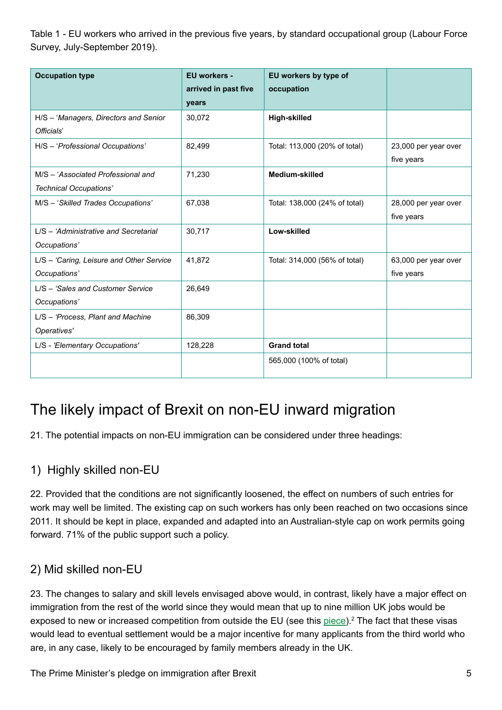Table 1 - EU workers who arrived in the previous five years, by standard occupational group (Labour Force Survey, July-September 2019).

| <b>Occupation type</b>                                       | EU workers -<br>arrived in past five<br>years | EU workers by type of<br>occupation |                                    |
|--------------------------------------------------------------|-----------------------------------------------|-------------------------------------|------------------------------------|
| H/S - 'Managers, Directors and Senior<br>Officials'          | 30,072                                        | <b>High-skilled</b>                 |                                    |
| H/S - 'Professional Occupations'                             | 82,499                                        | Total: 113,000 (20% of total)       | 23,000 per year over<br>five years |
| M/S - 'Associated Professional and<br>Technical Occupations' | 71,230                                        | Medium-skilled                      |                                    |
| M/S - 'Skilled Trades Occupations'                           | 67,038                                        | Total: 138,000 (24% of total)       | 28,000 per year over<br>five years |
| L/S - 'Administrative and Secretarial<br>Occupations'        | 30,717                                        | Low-skilled                         |                                    |
| L/S - 'Caring, Leisure and Other Service<br>Occupations'     | 41,872                                        | Total: 314,000 (56% of total)       | 63,000 per year over<br>five years |
| L/S - 'Sales and Customer Service<br>Occupations'            | 26,649                                        |                                     |                                    |
| L/S - 'Process, Plant and Machine<br>Operatives'             | 86,309                                        |                                     |                                    |
| L/S - 'Elementary Occupations'                               | 128,228                                       | <b>Grand total</b>                  |                                    |
|                                                              |                                               | 565,000 (100% of total)             |                                    |

## The likely impact of Brexit on non-EU inward migration

21. The potential impacts on non-EU immigration can be considered under three headings:

#### 1) Highly skilled non-EU

22. Provided that the conditions are not significantly loosened, the effect on numbers of such entries for work may well be limited. The existing cap on such workers has only been reached on two occasions since 2011. It should be kept in place, expanded and adapted into an Australian-style cap on work permits going forward. 71% of the public support such a policy.

#### 2) Mid skilled non-EU

23. The changes to salary and skill levels envisaged above would, in contrast, likely have a major effect on immigration from the rest of the world since they would mean that up to nine million UK jobs would be exposed to new or increased competition from outside the EU (see this piece).<sup>2</sup> The fact that these visas would lead to eventual settlement would be a major incentive for many applicants from the third world who are, in any case, likely to be encouraged by family members already in the UK.

The Prime Minister's pledge on immigration after Brexit 5 and 5 and 5 and 5 and 5 and 5 and 5 and 5 and 5 and 5 and 5 and 5 and 5 and 5 and 5 and 5 and 5 and 5 and 5 and 5 and 5 and 5 and 5 and 5 and 5 and 5 and 5 and 5 an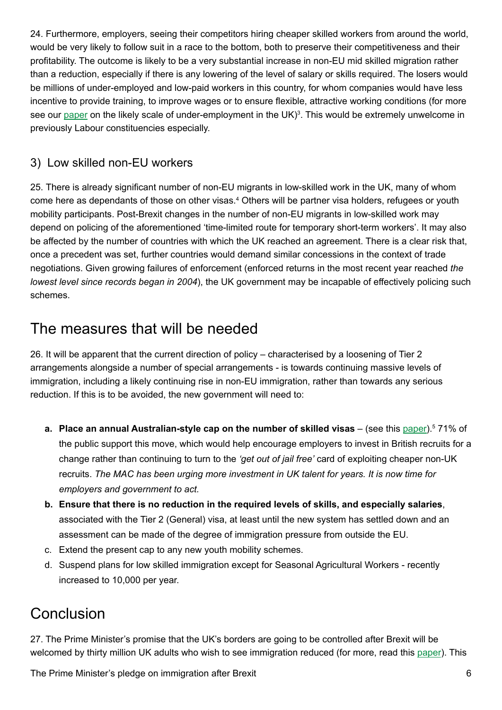24. Furthermore, employers, seeing their competitors hiring cheaper skilled workers from around the world, would be very likely to follow suit in a race to the bottom, both to preserve their competitiveness and their profitability. The outcome is likely to be a very substantial increase in non-EU mid skilled migration rather than a reduction, especially if there is any lowering of the level of salary or skills required. The losers would be millions of under-employed and low-paid workers in this country, for whom companies would have less incentive to provide training, to improve wages or to ensure flexible, attractive working conditions (for more see our <u>paper</u> on the likely scale of under-employment in the UK)<sup>3</sup>. This would be extremely unwelcome in previously Labour constituencies especially.

#### 3) Low skilled non-EU workers

25. There is already significant number of non-EU migrants in low-skilled work in the UK, many of whom come here as dependants of those on other visas.<sup>4</sup> Others will be partner visa holders, refugees or youth mobility participants. Post-Brexit changes in the number of non-EU migrants in low-skilled work may depend on policing of the aforementioned 'time-limited route for temporary short-term workers'. It may also be affected by the number of countries with which the UK reached an agreement. There is a clear risk that, once a precedent was set, further countries would demand similar concessions in the context of trade negotiations. Given growing failures of enforcement (enforced returns in the most recent year reached *the lowest level since records began in 2004*), the UK government may be incapable of effectively policing such schemes.

### The measures that will be needed

26. It will be apparent that the current direction of policy – characterised by a loosening of Tier 2 arrangements alongside a number of special arrangements - is towards continuing massive levels of immigration, including a likely continuing rise in non-EU immigration, rather than towards any serious reduction. If this is to be avoided, the new government will need to:

- **a. Place an annual Australian-style cap on the number of skilled visas** (see this paper).<sup>5</sup> 71% of the public support this move, which would help encourage employers to invest in British recruits for a change rather than continuing to turn to the *'get out of jail free'* card of exploiting cheaper non-UK recruits. *The MAC has been urging more investment in UK talent for years. It is now time for employers and government to act.*
- **b. Ensure that there is no reduction in the required levels of skills, and especially salaries**, associated with the Tier 2 (General) visa, at least until the new system has settled down and an assessment can be made of the degree of immigration pressure from outside the EU.
- c. Extend the present cap to any new youth mobility schemes.
- d. Suspend plans for low skilled immigration except for Seasonal Agricultural Workers recently increased to 10,000 per year.

## **Conclusion**

27. The Prime Minister's promise that the UK's borders are going to be controlled after Brexit will be welcomed by thirty million UK adults who wish to see immigration reduced (for more, read this paper). This

The Prime Minister's pledge on immigration after Brexit 6